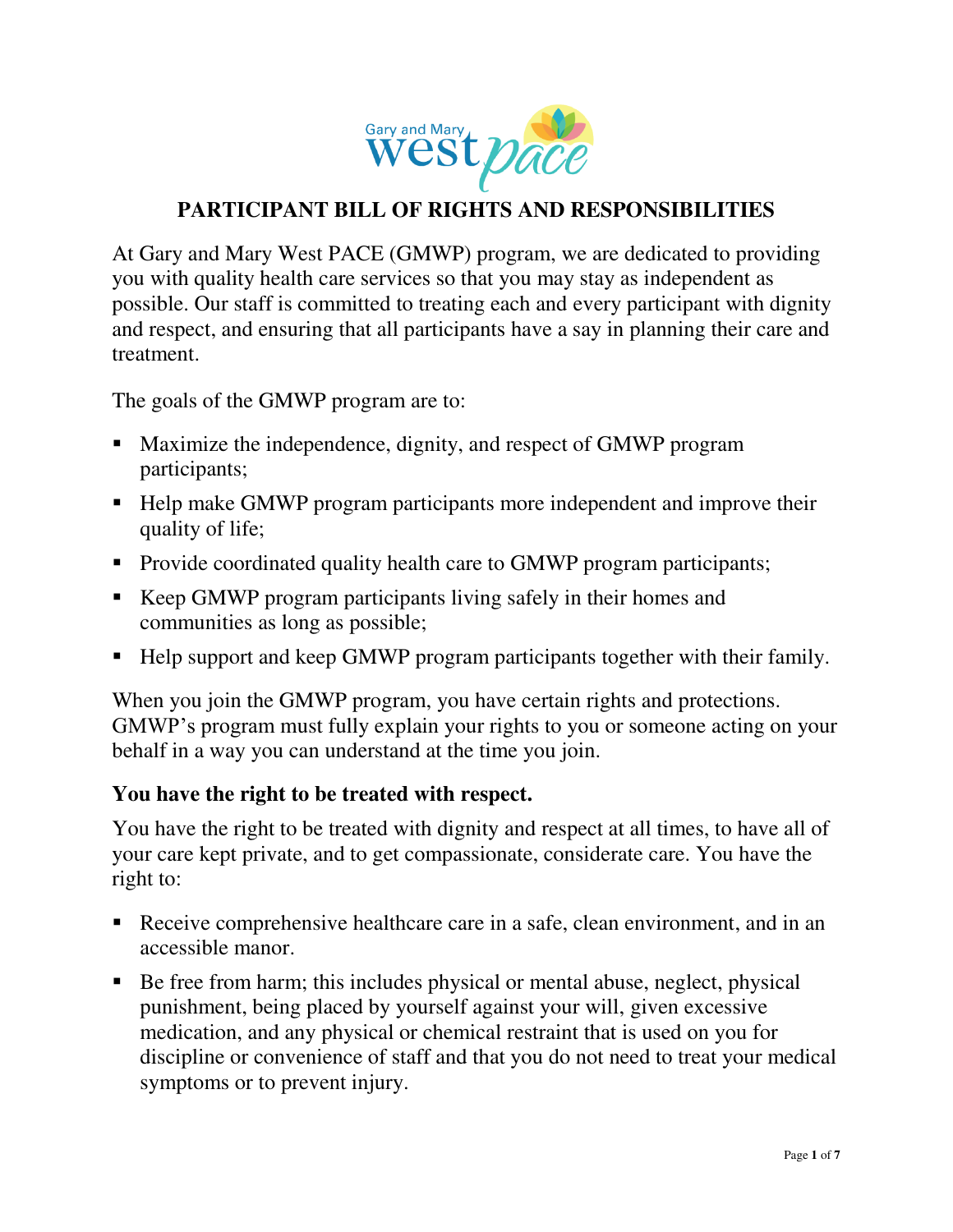

# **PARTICIPANT BILL OF RIGHTS AND RESPONSIBILITIES**

At Gary and Mary West PACE (GMWP) program, we are dedicated to providing you with quality health care services so that you may stay as independent as possible. Our staff is committed to treating each and every participant with dignity and respect, and ensuring that all participants have a say in planning their care and treatment.

The goals of the GMWP program are to:

- Maximize the independence, dignity, and respect of GMWP program participants;
- Help make GMWP program participants more independent and improve their quality of life;
- Provide coordinated quality health care to GMWP program participants;
- Keep GMWP program participants living safely in their homes and communities as long as possible;
- Help support and keep GMWP program participants together with their family.

When you join the GMWP program, you have certain rights and protections. GMWP's program must fully explain your rights to you or someone acting on your behalf in a way you can understand at the time you join.

#### **You have the right to be treated with respect.**

You have the right to be treated with dignity and respect at all times, to have all of your care kept private, and to get compassionate, considerate care. You have the right to:

- Receive comprehensive healthcare care in a safe, clean environment, and in an accessible manor.
- Be free from harm; this includes physical or mental abuse, neglect, physical punishment, being placed by yourself against your will, given excessive medication, and any physical or chemical restraint that is used on you for discipline or convenience of staff and that you do not need to treat your medical symptoms or to prevent injury.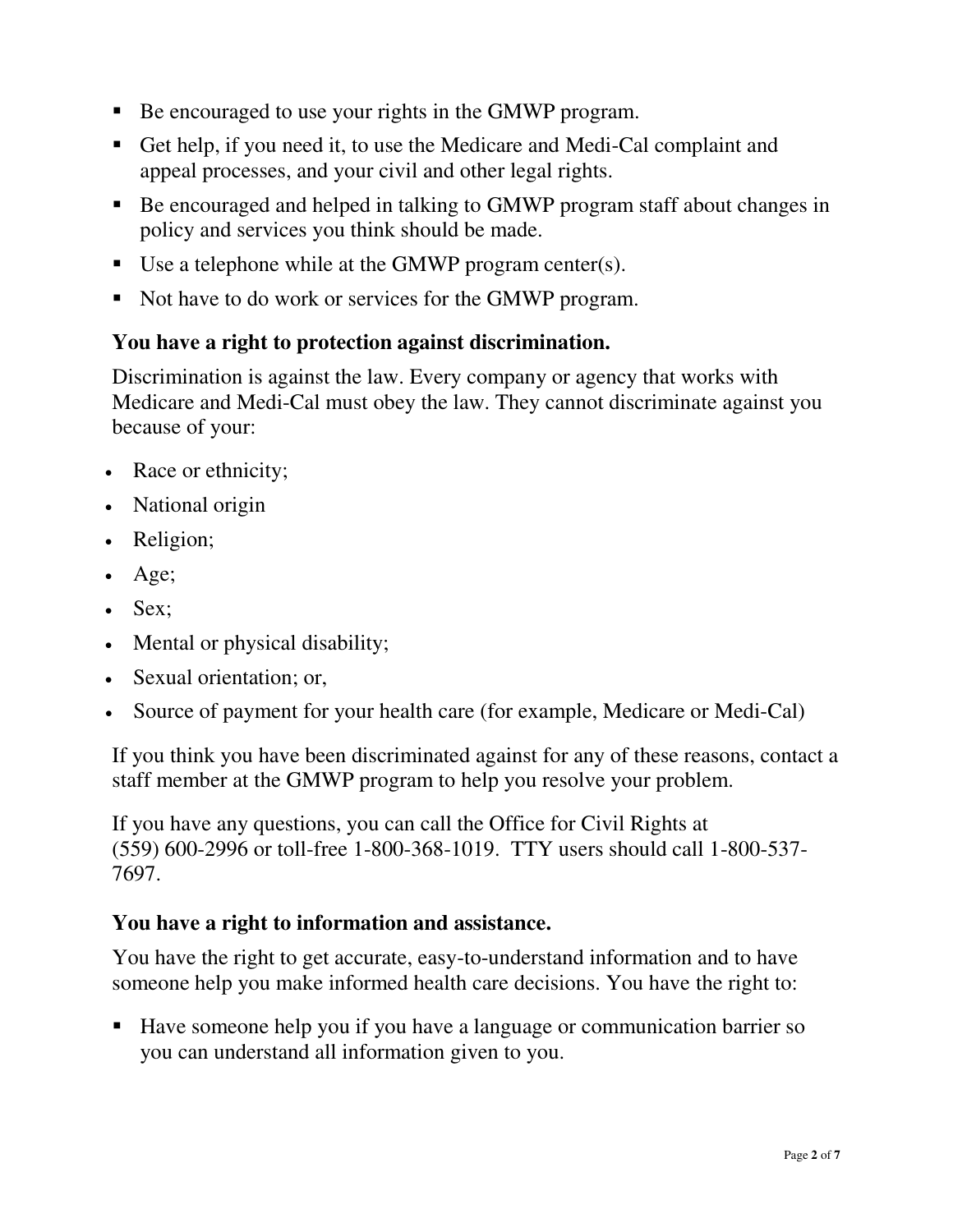- Be encouraged to use your rights in the GMWP program.
- Get help, if you need it, to use the Medicare and Medi-Cal complaint and appeal processes, and your civil and other legal rights.
- Be encouraged and helped in talking to GMWP program staff about changes in policy and services you think should be made.
- Use a telephone while at the GMWP program center(s).
- Not have to do work or services for the GMWP program.

#### **You have a right to protection against discrimination.**

Discrimination is against the law. Every company or agency that works with Medicare and Medi-Cal must obey the law. They cannot discriminate against you because of your:

- Race or ethnicity;
- National origin
- Religion;
- Age;
- Sex;
- Mental or physical disability;
- Sexual orientation; or,
- Source of payment for your health care (for example, Medicare or Medi-Cal)

If you think you have been discriminated against for any of these reasons, contact a staff member at the GMWP program to help you resolve your problem.

If you have any questions, you can call the Office for Civil Rights at (559) 600-2996 or toll-free 1-800-368-1019. TTY users should call 1-800-537- 7697.

#### **You have a right to information and assistance.**

You have the right to get accurate, easy-to-understand information and to have someone help you make informed health care decisions. You have the right to:

■ Have someone help you if you have a language or communication barrier so you can understand all information given to you.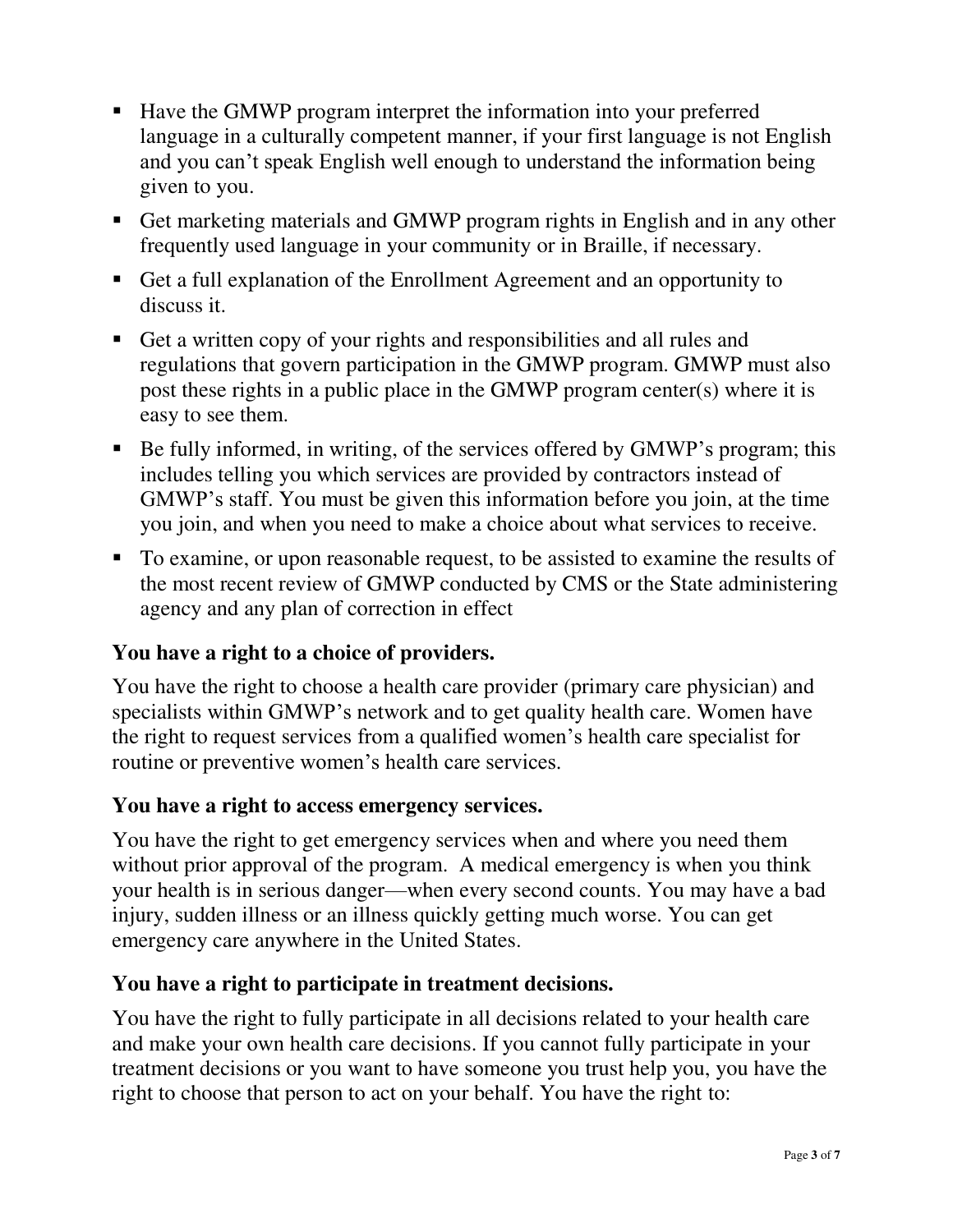- Have the GMWP program interpret the information into your preferred language in a culturally competent manner, if your first language is not English and you can't speak English well enough to understand the information being given to you.
- Get marketing materials and GMWP program rights in English and in any other frequently used language in your community or in Braille, if necessary.
- Get a full explanation of the Enrollment Agreement and an opportunity to discuss it.
- Get a written copy of your rights and responsibilities and all rules and regulations that govern participation in the GMWP program. GMWP must also post these rights in a public place in the GMWP program center(s) where it is easy to see them.
- Be fully informed, in writing, of the services offered by GMWP's program; this includes telling you which services are provided by contractors instead of GMWP's staff. You must be given this information before you join, at the time you join, and when you need to make a choice about what services to receive.
- To examine, or upon reasonable request, to be assisted to examine the results of the most recent review of GMWP conducted by CMS or the State administering agency and any plan of correction in effect

## **You have a right to a choice of providers.**

You have the right to choose a health care provider (primary care physician) and specialists within GMWP's network and to get quality health care. Women have the right to request services from a qualified women's health care specialist for routine or preventive women's health care services.

#### **You have a right to access emergency services.**

You have the right to get emergency services when and where you need them without prior approval of the program. A medical emergency is when you think your health is in serious danger—when every second counts. You may have a bad injury, sudden illness or an illness quickly getting much worse. You can get emergency care anywhere in the United States.

#### **You have a right to participate in treatment decisions.**

You have the right to fully participate in all decisions related to your health care and make your own health care decisions. If you cannot fully participate in your treatment decisions or you want to have someone you trust help you, you have the right to choose that person to act on your behalf. You have the right to: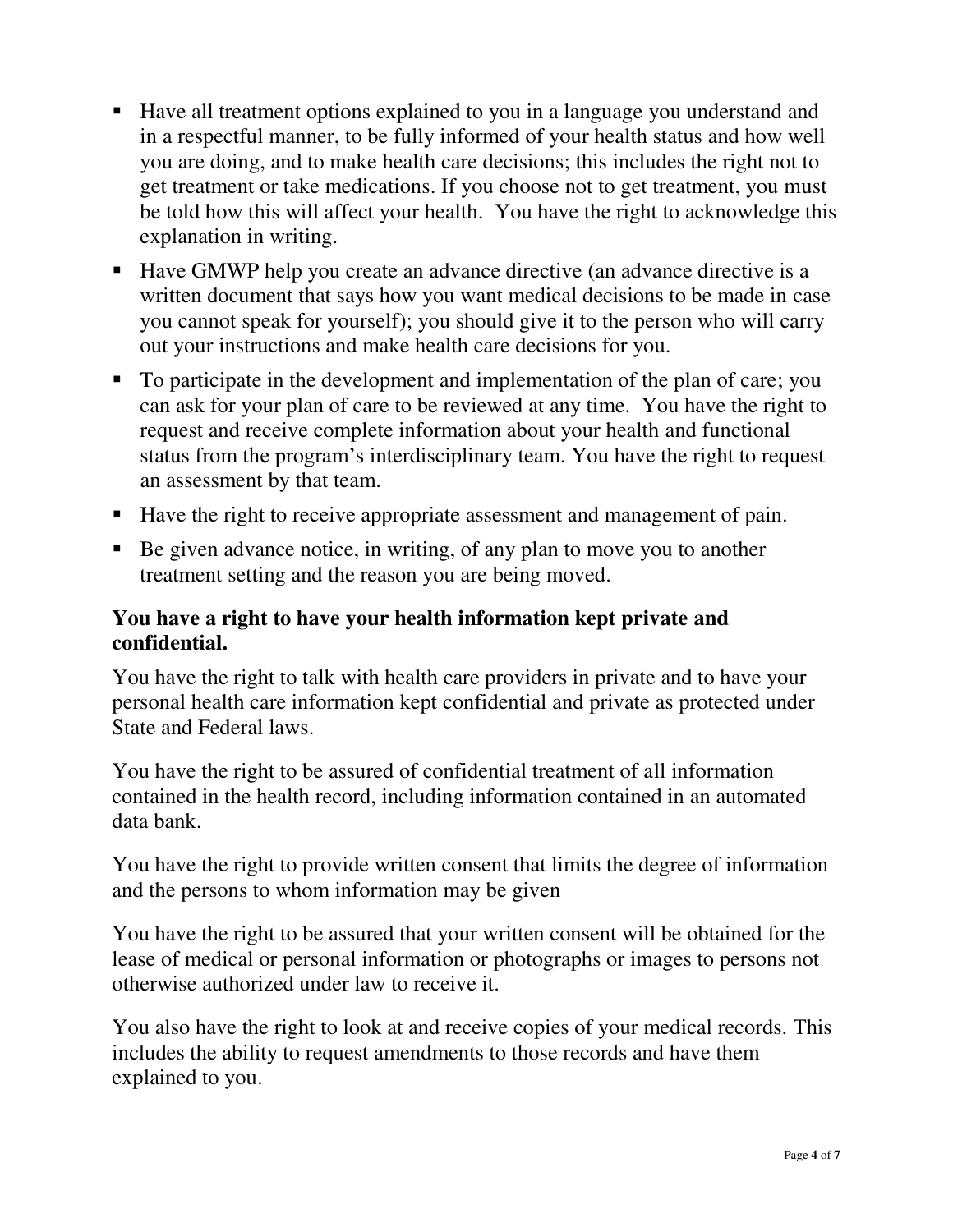- Have all treatment options explained to you in a language you understand and in a respectful manner, to be fully informed of your health status and how well you are doing, and to make health care decisions; this includes the right not to get treatment or take medications. If you choose not to get treatment, you must be told how this will affect your health. You have the right to acknowledge this explanation in writing.
- Have GMWP help you create an advance directive (an advance directive is a written document that says how you want medical decisions to be made in case you cannot speak for yourself); you should give it to the person who will carry out your instructions and make health care decisions for you.
- To participate in the development and implementation of the plan of care; you can ask for your plan of care to be reviewed at any time. You have the right to request and receive complete information about your health and functional status from the program's interdisciplinary team. You have the right to request an assessment by that team.
- Have the right to receive appropriate assessment and management of pain.
- Be given advance notice, in writing, of any plan to move you to another treatment setting and the reason you are being moved.

#### **You have a right to have your health information kept private and confidential.**

You have the right to talk with health care providers in private and to have your personal health care information kept confidential and private as protected under State and Federal laws.

You have the right to be assured of confidential treatment of all information contained in the health record, including information contained in an automated data bank.

You have the right to provide written consent that limits the degree of information and the persons to whom information may be given

You have the right to be assured that your written consent will be obtained for the lease of medical or personal information or photographs or images to persons not otherwise authorized under law to receive it.

You also have the right to look at and receive copies of your medical records. This includes the ability to request amendments to those records and have them explained to you.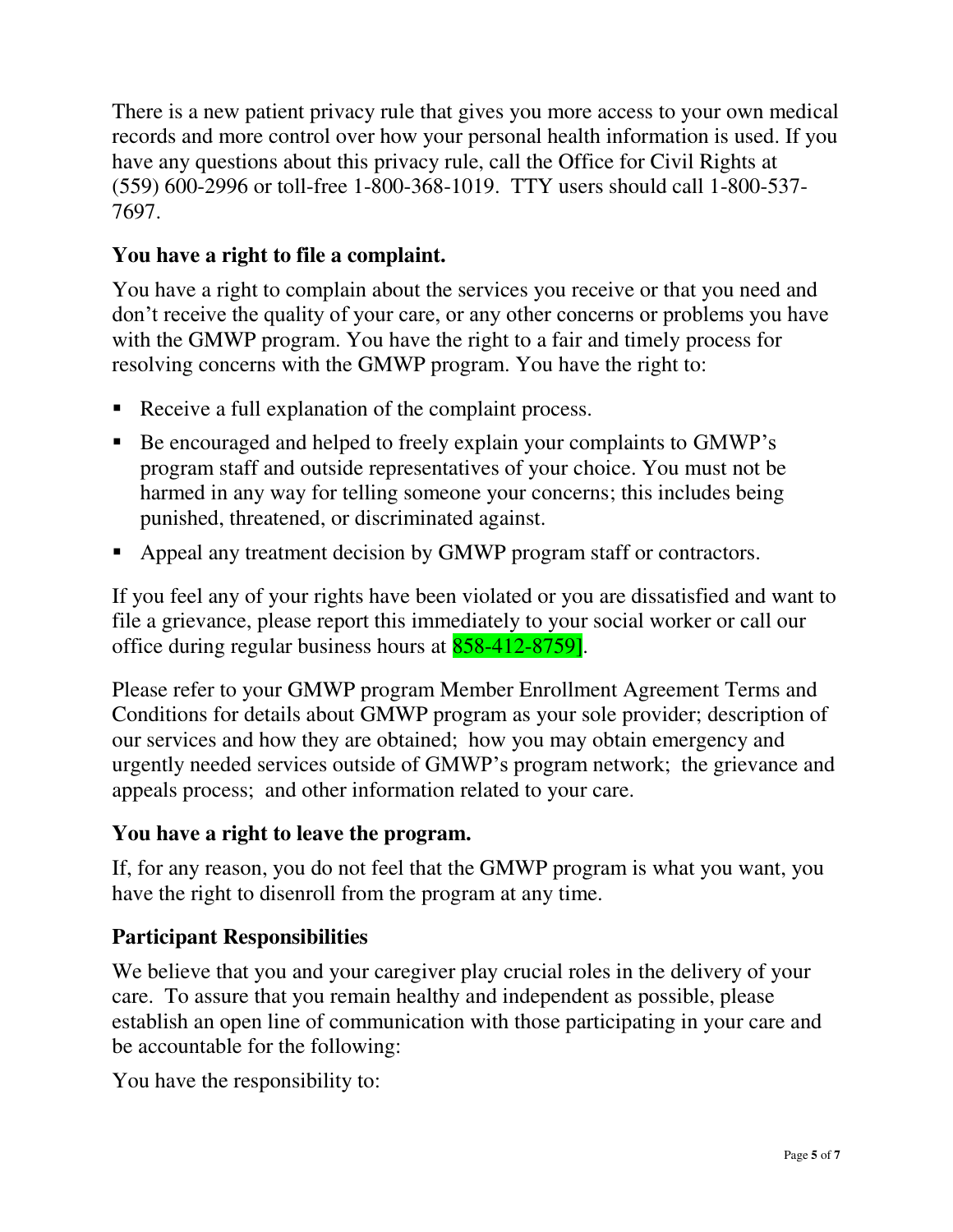There is a new patient privacy rule that gives you more access to your own medical records and more control over how your personal health information is used. If you have any questions about this privacy rule, call the Office for Civil Rights at (559) 600-2996 or toll-free 1-800-368-1019. TTY users should call 1-800-537- 7697.

## **You have a right to file a complaint.**

You have a right to complain about the services you receive or that you need and don't receive the quality of your care, or any other concerns or problems you have with the GMWP program. You have the right to a fair and timely process for resolving concerns with the GMWP program. You have the right to:

- Receive a full explanation of the complaint process.
- Be encouraged and helped to freely explain your complaints to GMWP's program staff and outside representatives of your choice. You must not be harmed in any way for telling someone your concerns; this includes being punished, threatened, or discriminated against.
- Appeal any treatment decision by GMWP program staff or contractors.

If you feel any of your rights have been violated or you are dissatisfied and want to file a grievance, please report this immediately to your social worker or call our office during regular business hours at 858-412-8759].

Please refer to your GMWP program Member Enrollment Agreement Terms and Conditions for details about GMWP program as your sole provider; description of our services and how they are obtained; how you may obtain emergency and urgently needed services outside of GMWP's program network; the grievance and appeals process; and other information related to your care.

#### **You have a right to leave the program.**

If, for any reason, you do not feel that the GMWP program is what you want, you have the right to disenroll from the program at any time.

## **Participant Responsibilities**

We believe that you and your caregiver play crucial roles in the delivery of your care. To assure that you remain healthy and independent as possible, please establish an open line of communication with those participating in your care and be accountable for the following:

You have the responsibility to: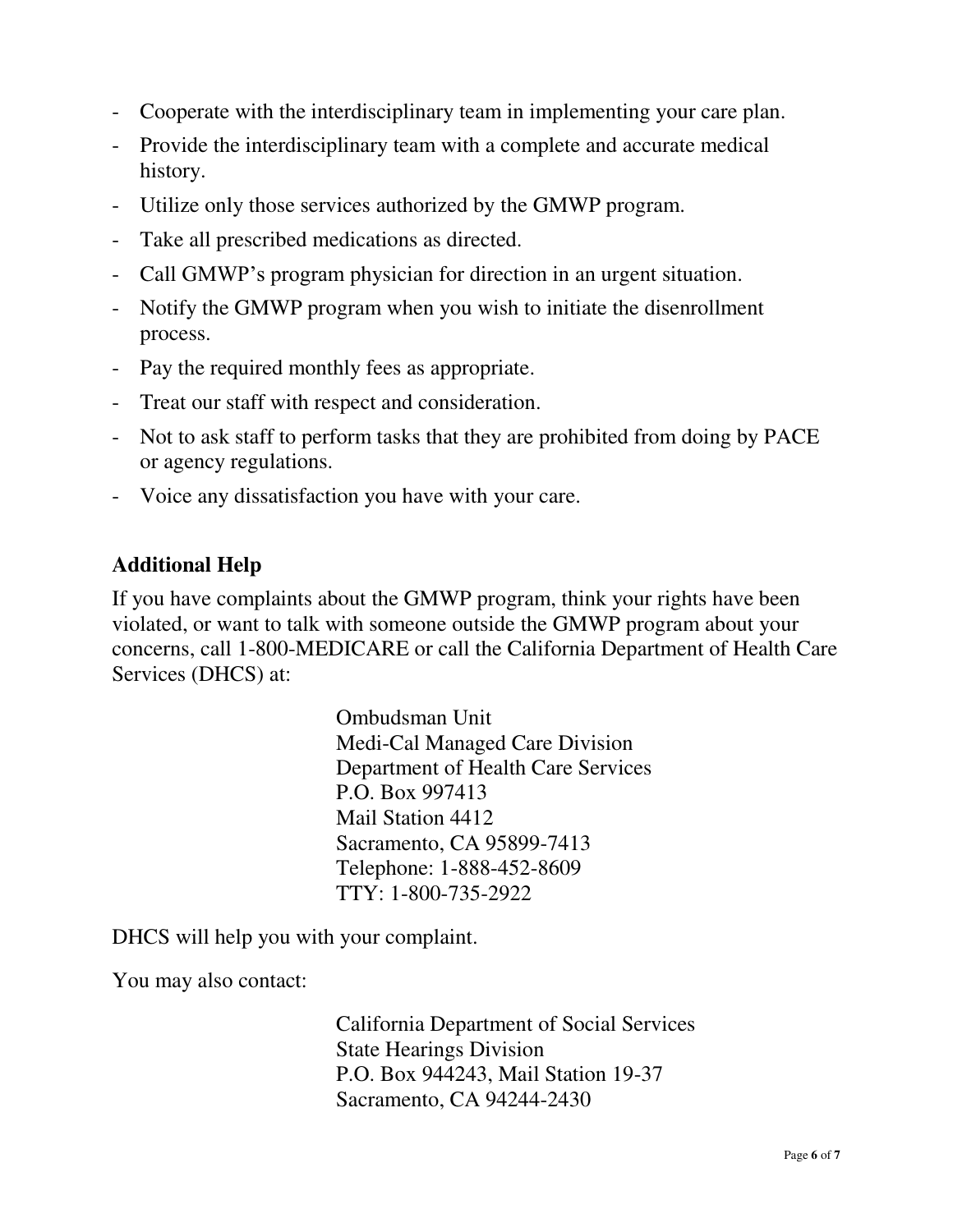- Cooperate with the interdisciplinary team in implementing your care plan.
- Provide the interdisciplinary team with a complete and accurate medical history.
- Utilize only those services authorized by the GMWP program.
- Take all prescribed medications as directed.
- Call GMWP's program physician for direction in an urgent situation.
- Notify the GMWP program when you wish to initiate the disenrollment process.
- Pay the required monthly fees as appropriate.
- Treat our staff with respect and consideration.
- Not to ask staff to perform tasks that they are prohibited from doing by PACE or agency regulations.
- Voice any dissatisfaction you have with your care.

#### **Additional Help**

If you have complaints about the GMWP program, think your rights have been violated, or want to talk with someone outside the GMWP program about your concerns, call 1-800-MEDICARE or call the California Department of Health Care Services (DHCS) at:

> Ombudsman Unit Medi-Cal Managed Care Division Department of Health Care Services P.O. Box 997413 Mail Station 4412 Sacramento, CA 95899-7413 Telephone: 1-888-452-8609 TTY: 1-800-735-2922

DHCS will help you with your complaint.

You may also contact:

California Department of Social Services State Hearings Division P.O. Box 944243, Mail Station 19-37 Sacramento, CA 94244-2430